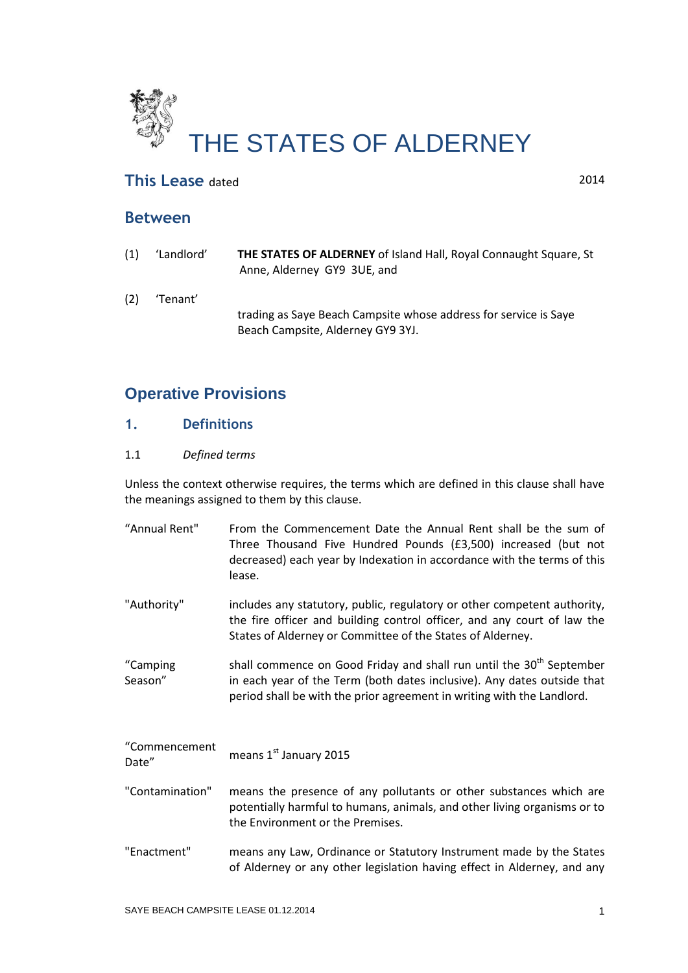

# **This Lease** dated 2014

# **Between**

(1) 'Landlord' **THE STATES OF ALDERNEY** of Island Hall, Royal Connaught Square, St Anne, Alderney GY9 3UE, and (2) 'Tenant' **PAUL JOHN HAYWARD and STEPHANIE MARGARET HAYWARD**, trading as Saye Beach Campsite whose address for service is Saye Beach Campsite, Alderney GY9 3YJ.

# **Operative Provisions**

# **1. Definitions**

### 1.1 *Defined terms*

Unless the context otherwise requires, the terms which are defined in this clause shall have the meanings assigned to them by this clause.

| "Annual Rent"          | From the Commencement Date the Annual Rent shall be the sum of<br>Three Thousand Five Hundred Pounds (£3,500) increased (but not<br>decreased) each year by Indexation in accordance with the terms of this<br>lease.                 |
|------------------------|---------------------------------------------------------------------------------------------------------------------------------------------------------------------------------------------------------------------------------------|
| "Authority"            | includes any statutory, public, regulatory or other competent authority,<br>the fire officer and building control officer, and any court of law the<br>States of Alderney or Committee of the States of Alderney.                     |
| "Camping<br>Season"    | shall commence on Good Friday and shall run until the 30 <sup>th</sup> September<br>in each year of the Term (both dates inclusive). Any dates outside that<br>period shall be with the prior agreement in writing with the Landlord. |
| "Commencement<br>Date" | means 1st January 2015                                                                                                                                                                                                                |
| "Contamination"        | means the presence of any pollutants or other substances which are<br>potentially harmful to humans, animals, and other living organisms or to<br>the Environment or the Premises.                                                    |
| "Enactment"            | means any Law, Ordinance or Statutory Instrument made by the States<br>of Alderney or any other legislation having effect in Alderney, and any                                                                                        |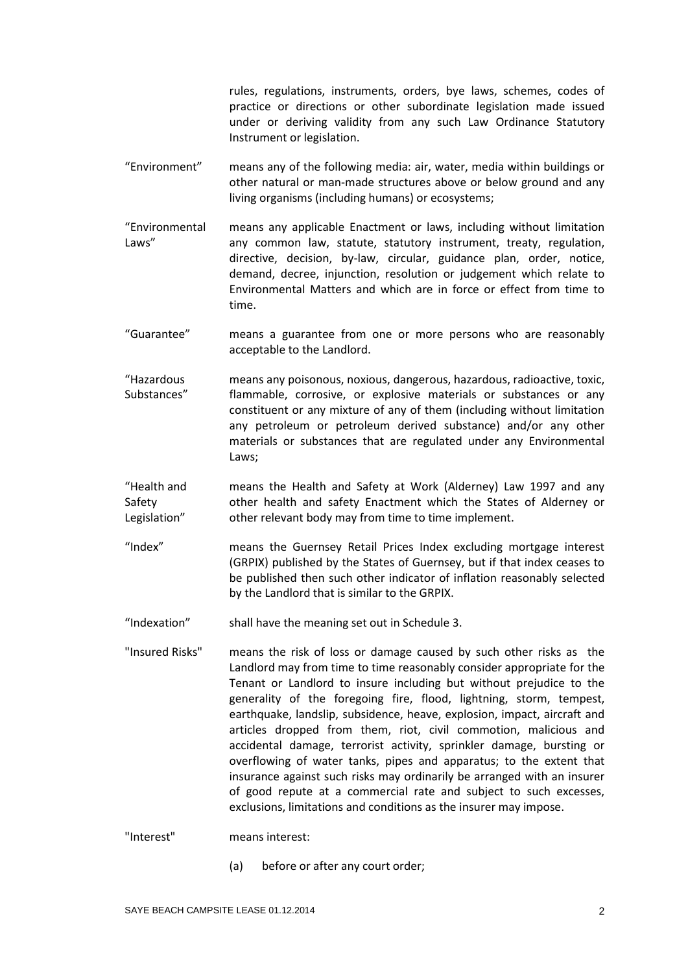rules, regulations, instruments, orders, bye laws, schemes, codes of practice or directions or other subordinate legislation made issued under or deriving validity from any such Law Ordinance Statutory Instrument or legislation.

- "Environment" means any of the following media: air, water, media within buildings or other natural or man-made structures above or below ground and any living organisms (including humans) or ecosystems;
- "Environmental Laws" means any applicable Enactment or laws, including without limitation any common law, statute, statutory instrument, treaty, regulation, directive, decision, by-law, circular, guidance plan, order, notice, demand, decree, injunction, resolution or judgement which relate to Environmental Matters and which are in force or effect from time to time.
- "Guarantee" means a guarantee from one or more persons who are reasonably acceptable to the Landlord.
- "Hazardous Substances" means any poisonous, noxious, dangerous, hazardous, radioactive, toxic, flammable, corrosive, or explosive materials or substances or any constituent or any mixture of any of them (including without limitation any petroleum or petroleum derived substance) and/or any other materials or substances that are regulated under any Environmental Laws;

"Health and Safety Legislation" means the Health and Safety at Work (Alderney) Law 1997 and any other health and safety Enactment which the States of Alderney or other relevant body may from time to time implement.

- "Index" means the Guernsey Retail Prices Index excluding mortgage interest (GRPIX) published by the States of Guernsey, but if that index ceases to be published then such other indicator of inflation reasonably selected by the Landlord that is similar to the GRPIX.
- "Indexation" shall have the meaning set out in Schedule 3.
- "Insured Risks" means the risk of loss or damage caused by such other risks as the Landlord may from time to time reasonably consider appropriate for the Tenant or Landlord to insure including but without prejudice to the generality of the foregoing fire, flood, lightning, storm, tempest, earthquake, landslip, subsidence, heave, explosion, impact, aircraft and articles dropped from them, riot, civil commotion, malicious and accidental damage, terrorist activity, sprinkler damage, bursting or overflowing of water tanks, pipes and apparatus; to the extent that insurance against such risks may ordinarily be arranged with an insurer of good repute at a commercial rate and subject to such excesses, exclusions, limitations and conditions as the insurer may impose.

"Interest" means interest:

(a) before or after any court order;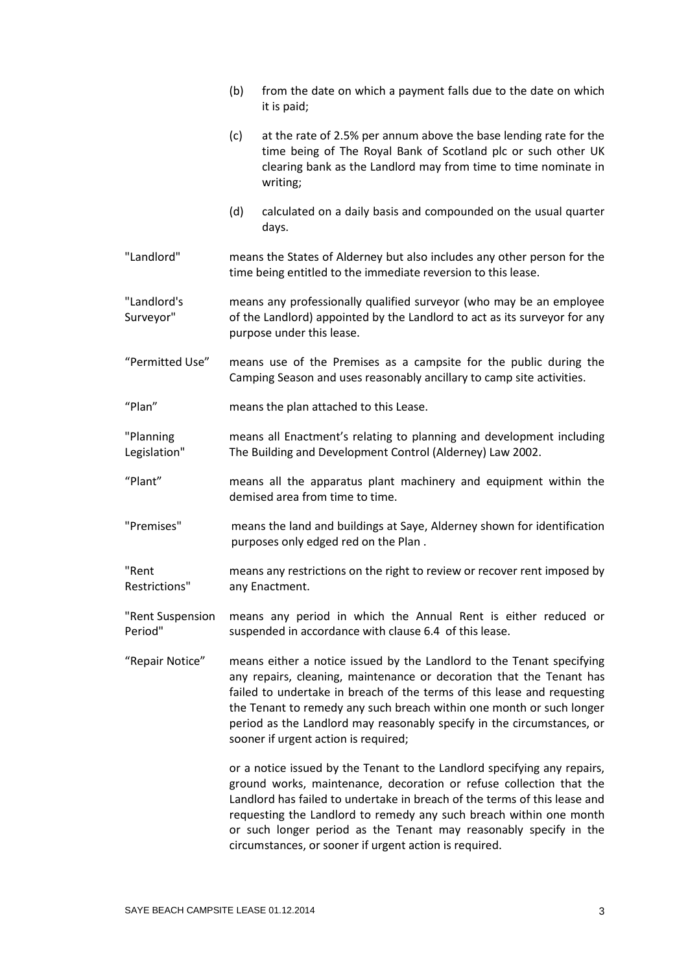|                             | (b)                                                                                                                                                                           | from the date on which a payment falls due to the date on which<br>it is paid;                                                                                                                                                                                                                                                                                                                                                    |  |
|-----------------------------|-------------------------------------------------------------------------------------------------------------------------------------------------------------------------------|-----------------------------------------------------------------------------------------------------------------------------------------------------------------------------------------------------------------------------------------------------------------------------------------------------------------------------------------------------------------------------------------------------------------------------------|--|
|                             | (c)                                                                                                                                                                           | at the rate of 2.5% per annum above the base lending rate for the<br>time being of The Royal Bank of Scotland plc or such other UK<br>clearing bank as the Landlord may from time to time nominate in<br>writing;                                                                                                                                                                                                                 |  |
|                             | (d)                                                                                                                                                                           | calculated on a daily basis and compounded on the usual quarter<br>days.                                                                                                                                                                                                                                                                                                                                                          |  |
| "Landlord"                  | means the States of Alderney but also includes any other person for the<br>time being entitled to the immediate reversion to this lease.                                      |                                                                                                                                                                                                                                                                                                                                                                                                                                   |  |
| "Landlord's<br>Surveyor"    | means any professionally qualified surveyor (who may be an employee<br>of the Landlord) appointed by the Landlord to act as its surveyor for any<br>purpose under this lease. |                                                                                                                                                                                                                                                                                                                                                                                                                                   |  |
| "Permitted Use"             | means use of the Premises as a campsite for the public during the<br>Camping Season and uses reasonably ancillary to camp site activities.                                    |                                                                                                                                                                                                                                                                                                                                                                                                                                   |  |
| "Plan"                      | means the plan attached to this Lease.                                                                                                                                        |                                                                                                                                                                                                                                                                                                                                                                                                                                   |  |
| "Planning<br>Legislation"   | means all Enactment's relating to planning and development including<br>The Building and Development Control (Alderney) Law 2002.                                             |                                                                                                                                                                                                                                                                                                                                                                                                                                   |  |
| "Plant"                     | means all the apparatus plant machinery and equipment within the<br>demised area from time to time.                                                                           |                                                                                                                                                                                                                                                                                                                                                                                                                                   |  |
| "Premises"                  | means the land and buildings at Saye, Alderney shown for identification<br>purposes only edged red on the Plan.                                                               |                                                                                                                                                                                                                                                                                                                                                                                                                                   |  |
| "Rent<br>Restrictions"      | means any restrictions on the right to review or recover rent imposed by<br>any Enactment.                                                                                    |                                                                                                                                                                                                                                                                                                                                                                                                                                   |  |
| "Rent Suspension<br>Period" | means any period in which the Annual Rent is either reduced or<br>suspended in accordance with clause 6.4 of this lease.                                                      |                                                                                                                                                                                                                                                                                                                                                                                                                                   |  |
| "Repair Notice"             |                                                                                                                                                                               | means either a notice issued by the Landlord to the Tenant specifying<br>any repairs, cleaning, maintenance or decoration that the Tenant has<br>failed to undertake in breach of the terms of this lease and requesting<br>the Tenant to remedy any such breach within one month or such longer<br>period as the Landlord may reasonably specify in the circumstances, or<br>sooner if urgent action is required;                |  |
|                             |                                                                                                                                                                               | or a notice issued by the Tenant to the Landlord specifying any repairs,<br>ground works, maintenance, decoration or refuse collection that the<br>Landlord has failed to undertake in breach of the terms of this lease and<br>requesting the Landlord to remedy any such breach within one month<br>or such longer period as the Tenant may reasonably specify in the<br>circumstances, or sooner if urgent action is required. |  |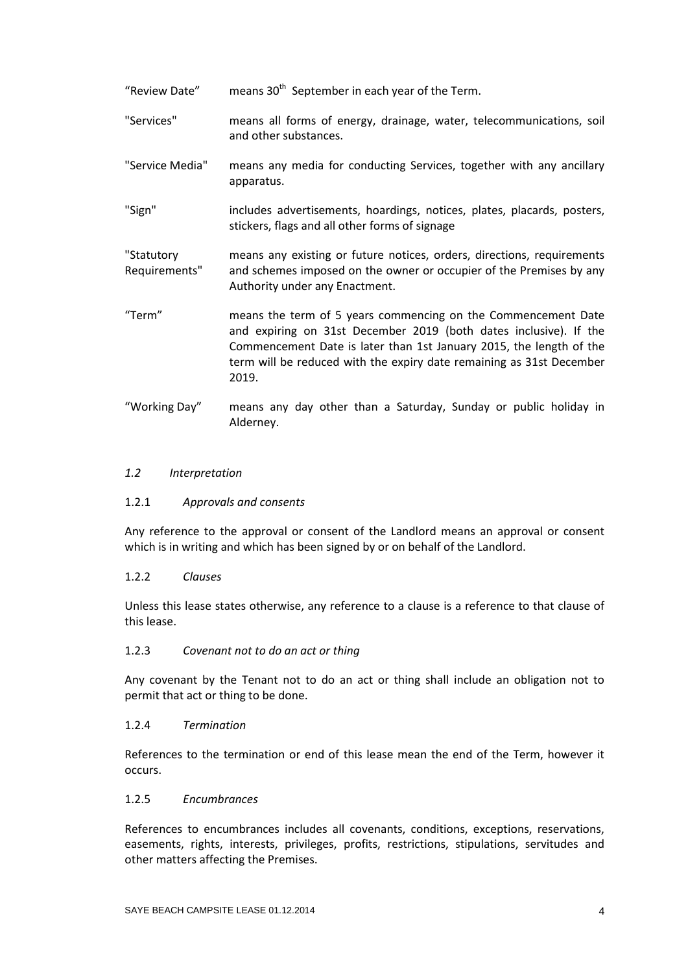"Review Date" means  $30<sup>th</sup>$  September in each year of the Term.

- "Services" means all forms of energy, drainage, water, telecommunications, soil and other substances.
- "Service Media" means any media for conducting Services, together with any ancillary apparatus.
- "Sign" includes advertisements, hoardings, notices, plates, placards, posters, stickers, flags and all other forms of signage

"Statutory Requirements" means any existing or future notices, orders, directions, requirements and schemes imposed on the owner or occupier of the Premises by any Authority under any Enactment.

- "Term" means the term of 5 years commencing on the Commencement Date and expiring on 31st December 2019 (both dates inclusive). If the Commencement Date is later than 1st January 2015, the length of the term will be reduced with the expiry date remaining as 31st December 2019.
- "Working Day" means any day other than a Saturday, Sunday or public holiday in Alderney.

#### *1.2 Interpretation*

#### 1.2.1 *Approvals and consents*

Any reference to the approval or consent of the Landlord means an approval or consent which is in writing and which has been signed by or on behalf of the Landlord.

#### 1.2.2 *Clauses*

Unless this lease states otherwise, any reference to a clause is a reference to that clause of this lease.

#### 1.2.3 *Covenant not to do an act or thing*

Any covenant by the Tenant not to do an act or thing shall include an obligation not to permit that act or thing to be done.

#### 1.2.4 *Termination*

References to the termination or end of this lease mean the end of the Term, however it occurs.

#### 1.2.5 *Encumbrances*

References to encumbrances includes all covenants, conditions, exceptions, reservations, easements, rights, interests, privileges, profits, restrictions, stipulations, servitudes and other matters affecting the Premises.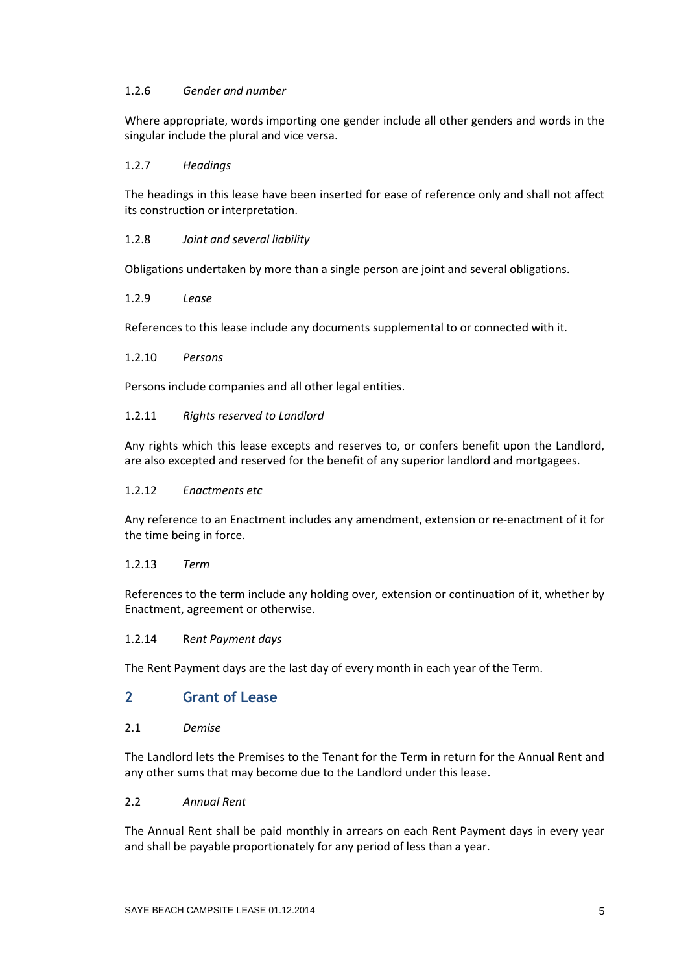### 1.2.6 *Gender and number*

Where appropriate, words importing one gender include all other genders and words in the singular include the plural and vice versa.

## 1.2.7 *Headings*

The headings in this lease have been inserted for ease of reference only and shall not affect its construction or interpretation.

## 1.2.8 *Joint and several liability*

Obligations undertaken by more than a single person are joint and several obligations.

### 1.2.9 *Lease*

References to this lease include any documents supplemental to or connected with it.

### 1.2.10 *Persons*

Persons include companies and all other legal entities.

### 1.2.11 *Rights reserved to Landlord*

Any rights which this lease excepts and reserves to, or confers benefit upon the Landlord, are also excepted and reserved for the benefit of any superior landlord and mortgagees.

#### 1.2.12 *Enactments etc*

Any reference to an Enactment includes any amendment, extension or re-enactment of it for the time being in force.

### 1.2.13 *Term*

References to the term include any holding over, extension or continuation of it, whether by Enactment, agreement or otherwise.

### 1.2.14 R*ent Payment days*

The Rent Payment days are the last day of every month in each year of the Term.

# **2 Grant of Lease**

2.1 *Demise*

The Landlord lets the Premises to the Tenant for the Term in return for the Annual Rent and any other sums that may become due to the Landlord under this lease.

### 2.2 *Annual Rent*

The Annual Rent shall be paid monthly in arrears on each Rent Payment days in every year and shall be payable proportionately for any period of less than a year.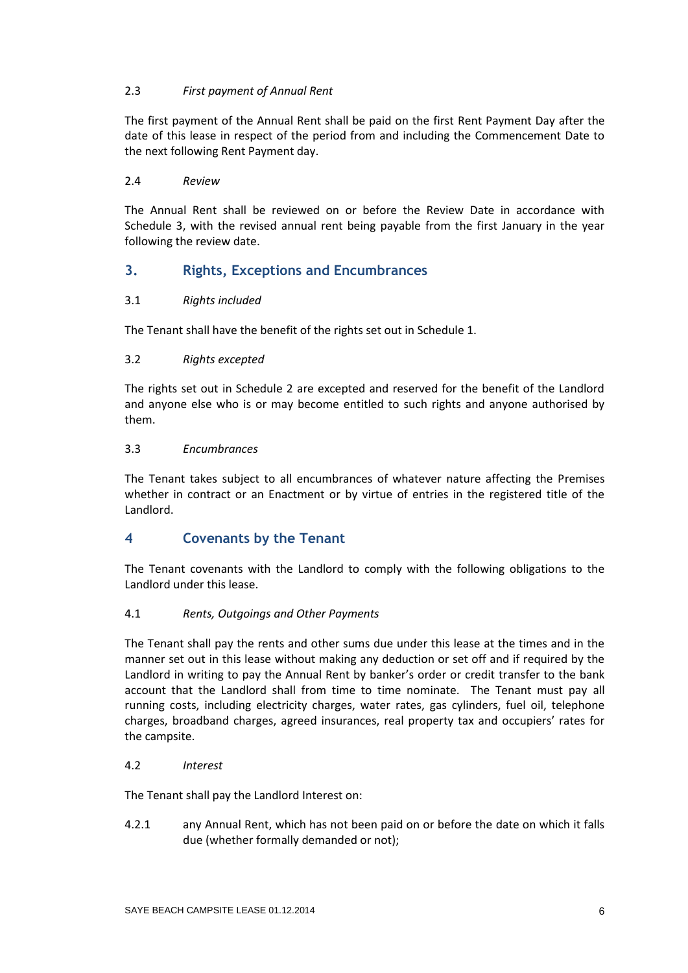## 2.3 *First payment of Annual Rent*

The first payment of the Annual Rent shall be paid on the first Rent Payment Day after the date of this lease in respect of the period from and including the Commencement Date to the next following Rent Payment day.

## 2.4 *Review*

The Annual Rent shall be reviewed on or before the Review Date in accordance with Schedule 3, with the revised annual rent being payable from the first January in the year following the review date.

# **3. Rights, Exceptions and Encumbrances**

## 3.1 *Rights included*

The Tenant shall have the benefit of the rights set out in Schedule 1.

### 3.2 *Rights excepted*

The rights set out in Schedule 2 are excepted and reserved for the benefit of the Landlord and anyone else who is or may become entitled to such rights and anyone authorised by them.

### 3.3 *Encumbrances*

The Tenant takes subject to all encumbrances of whatever nature affecting the Premises whether in contract or an Enactment or by virtue of entries in the registered title of the Landlord.

# **4 Covenants by the Tenant**

The Tenant covenants with the Landlord to comply with the following obligations to the Landlord under this lease.

### 4.1 *Rents, Outgoings and Other Payments*

The Tenant shall pay the rents and other sums due under this lease at the times and in the manner set out in this lease without making any deduction or set off and if required by the Landlord in writing to pay the Annual Rent by banker's order or credit transfer to the bank account that the Landlord shall from time to time nominate. The Tenant must pay all running costs, including electricity charges, water rates, gas cylinders, fuel oil, telephone charges, broadband charges, agreed insurances, real property tax and occupiers' rates for the campsite.

### 4.2 *Interest*

The Tenant shall pay the Landlord Interest on:

4.2.1 any Annual Rent, which has not been paid on or before the date on which it falls due (whether formally demanded or not);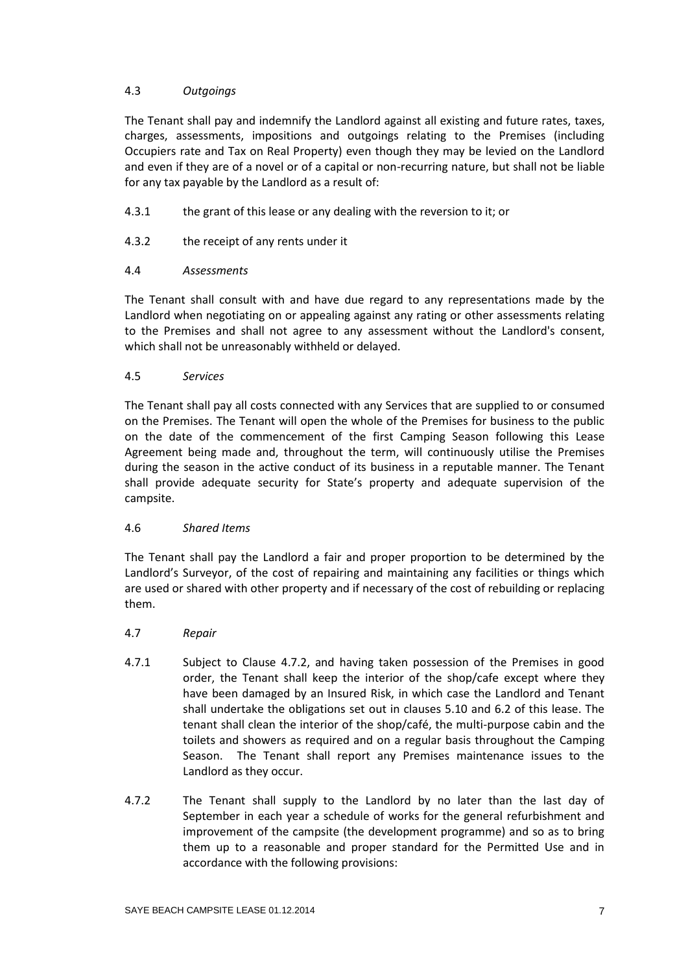## 4.3 *Outgoings*

The Tenant shall pay and indemnify the Landlord against all existing and future rates, taxes, charges, assessments, impositions and outgoings relating to the Premises (including Occupiers rate and Tax on Real Property) even though they may be levied on the Landlord and even if they are of a novel or of a capital or non-recurring nature, but shall not be liable for any tax payable by the Landlord as a result of:

- 4.3.1 the grant of this lease or any dealing with the reversion to it; or
- 4.3.2 the receipt of any rents under it

## 4.4 *Assessments*

The Tenant shall consult with and have due regard to any representations made by the Landlord when negotiating on or appealing against any rating or other assessments relating to the Premises and shall not agree to any assessment without the Landlord's consent, which shall not be unreasonably withheld or delayed.

## 4.5 *Services*

The Tenant shall pay all costs connected with any Services that are supplied to or consumed on the Premises. The Tenant will open the whole of the Premises for business to the public on the date of the commencement of the first Camping Season following this Lease Agreement being made and, throughout the term, will continuously utilise the Premises during the season in the active conduct of its business in a reputable manner. The Tenant shall provide adequate security for State's property and adequate supervision of the campsite.

### 4.6 *Shared Items*

The Tenant shall pay the Landlord a fair and proper proportion to be determined by the Landlord's Surveyor, of the cost of repairing and maintaining any facilities or things which are used or shared with other property and if necessary of the cost of rebuilding or replacing them.

- 4.7 *Repair*
- 4.7.1 Subject to Clause 4.7.2, and having taken possession of the Premises in good order, the Tenant shall keep the interior of the shop/cafe except where they have been damaged by an Insured Risk, in which case the Landlord and Tenant shall undertake the obligations set out in clauses 5.10 and 6.2 of this lease. The tenant shall clean the interior of the shop/café, the multi-purpose cabin and the toilets and showers as required and on a regular basis throughout the Camping Season. The Tenant shall report any Premises maintenance issues to the Landlord as they occur.
- 4.7.2 The Tenant shall supply to the Landlord by no later than the last day of September in each year a schedule of works for the general refurbishment and improvement of the campsite (the development programme) and so as to bring them up to a reasonable and proper standard for the Permitted Use and in accordance with the following provisions: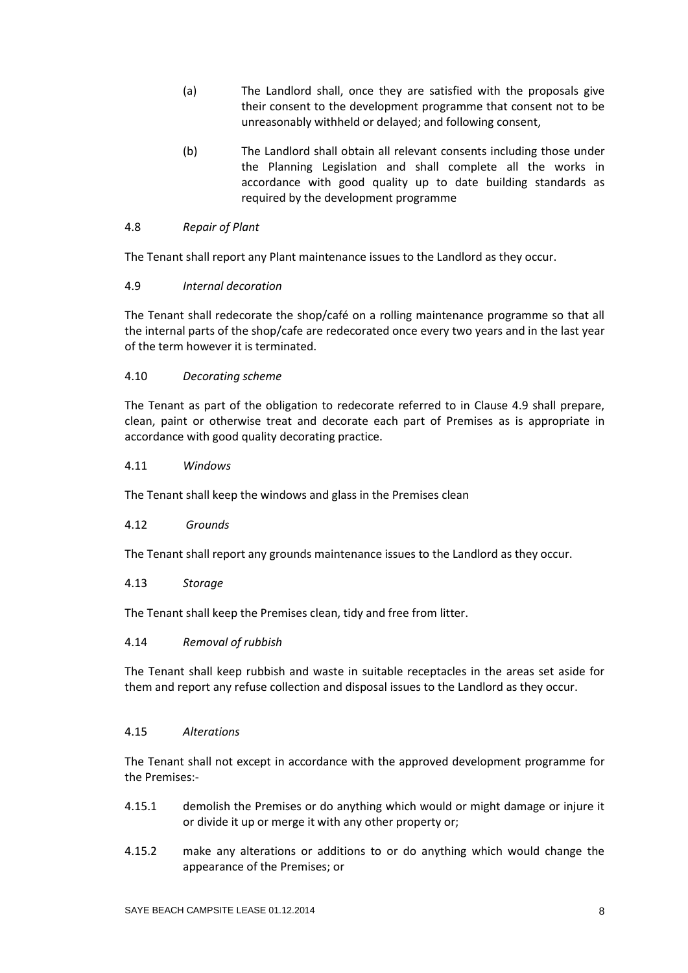- (a) The Landlord shall, once they are satisfied with the proposals give their consent to the development programme that consent not to be unreasonably withheld or delayed; and following consent,
- (b) The Landlord shall obtain all relevant consents including those under the Planning Legislation and shall complete all the works in accordance with good quality up to date building standards as required by the development programme

## 4.8 *Repair of Plant*

The Tenant shall report any Plant maintenance issues to the Landlord as they occur.

## 4.9 *Internal decoration*

The Tenant shall redecorate the shop/café on a rolling maintenance programme so that all the internal parts of the shop/cafe are redecorated once every two years and in the last year of the term however it is terminated.

## 4.10 *Decorating scheme*

The Tenant as part of the obligation to redecorate referred to in Clause 4.9 shall prepare, clean, paint or otherwise treat and decorate each part of Premises as is appropriate in accordance with good quality decorating practice.

### 4.11 *Windows*

The Tenant shall keep the windows and glass in the Premises clean

### 4.12 *Grounds*

The Tenant shall report any grounds maintenance issues to the Landlord as they occur.

### 4.13 *Storage*

The Tenant shall keep the Premises clean, tidy and free from litter.

### 4.14 *Removal of rubbish*

The Tenant shall keep rubbish and waste in suitable receptacles in the areas set aside for them and report any refuse collection and disposal issues to the Landlord as they occur.

### 4.15 *Alterations*

The Tenant shall not except in accordance with the approved development programme for the Premises:-

- 4.15.1 demolish the Premises or do anything which would or might damage or injure it or divide it up or merge it with any other property or;
- 4.15.2 make any alterations or additions to or do anything which would change the appearance of the Premises; or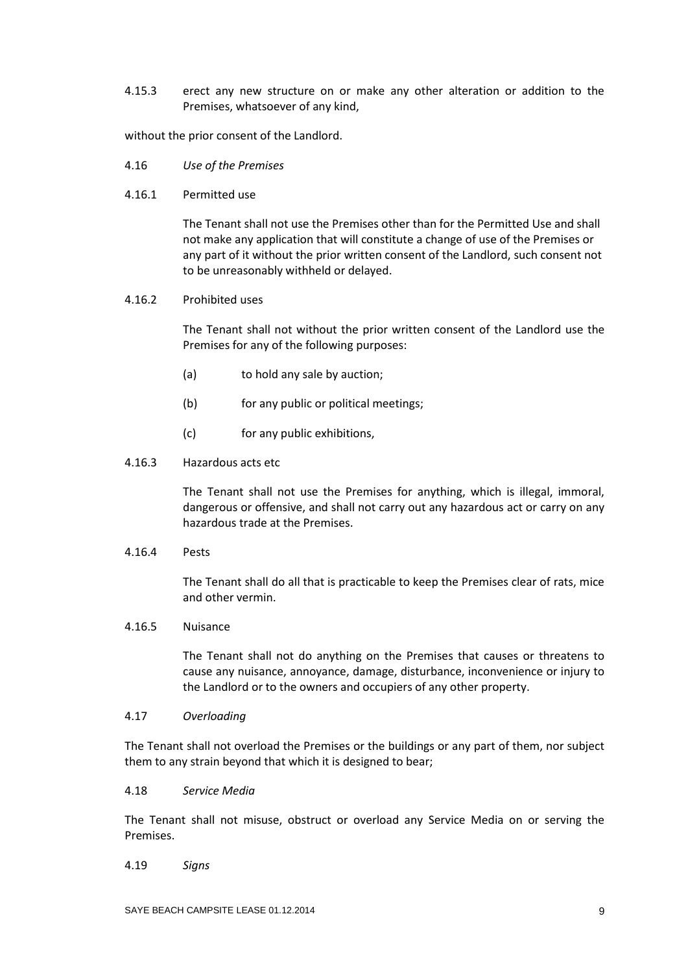4.15.3 erect any new structure on or make any other alteration or addition to the Premises, whatsoever of any kind,

without the prior consent of the Landlord.

- 4.16 *Use of the Premises*
- 4.16.1 Permitted use

The Tenant shall not use the Premises other than for the Permitted Use and shall not make any application that will constitute a change of use of the Premises or any part of it without the prior written consent of the Landlord, such consent not to be unreasonably withheld or delayed.

#### 4.16.2 Prohibited uses

The Tenant shall not without the prior written consent of the Landlord use the Premises for any of the following purposes:

- (a) to hold any sale by auction;
- (b) for any public or political meetings;
- (c) for any public exhibitions,

#### 4.16.3 Hazardous acts etc

The Tenant shall not use the Premises for anything, which is illegal, immoral, dangerous or offensive, and shall not carry out any hazardous act or carry on any hazardous trade at the Premises.

4.16.4 Pests

The Tenant shall do all that is practicable to keep the Premises clear of rats, mice and other vermin.

#### 4.16.5 Nuisance

The Tenant shall not do anything on the Premises that causes or threatens to cause any nuisance, annoyance, damage, disturbance, inconvenience or injury to the Landlord or to the owners and occupiers of any other property.

#### 4.17 *Overloading*

The Tenant shall not overload the Premises or the buildings or any part of them, nor subject them to any strain beyond that which it is designed to bear;

#### 4.18 *Service Media*

The Tenant shall not misuse, obstruct or overload any Service Media on or serving the Premises.

#### 4.19 *Signs*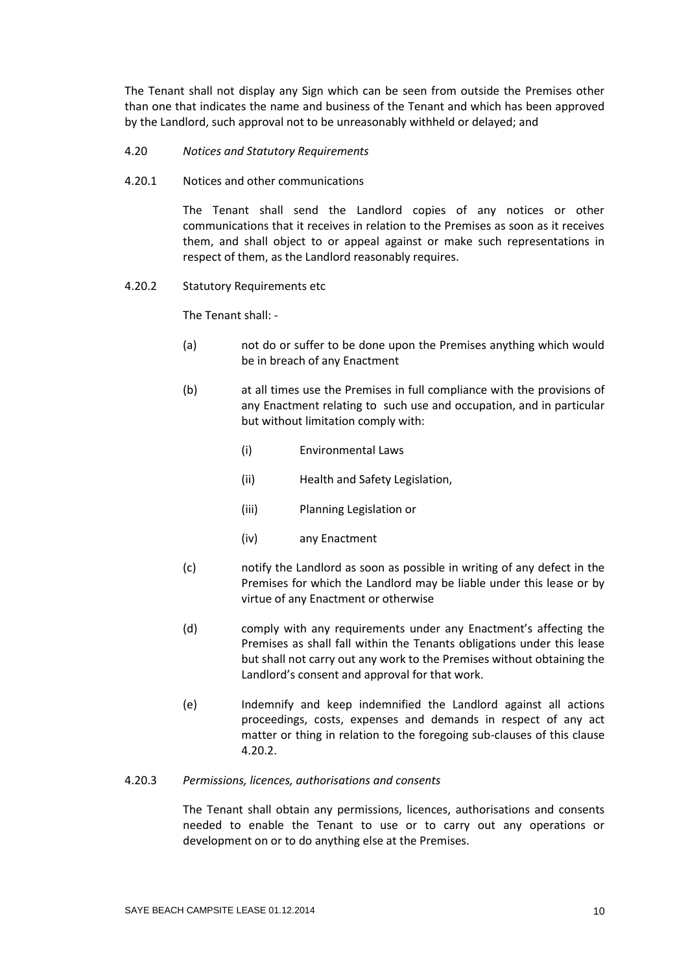The Tenant shall not display any Sign which can be seen from outside the Premises other than one that indicates the name and business of the Tenant and which has been approved by the Landlord, such approval not to be unreasonably withheld or delayed; and

- 4.20 *Notices and Statutory Requirements*
- 4.20.1 Notices and other communications

The Tenant shall send the Landlord copies of any notices or other communications that it receives in relation to the Premises as soon as it receives them, and shall object to or appeal against or make such representations in respect of them, as the Landlord reasonably requires.

4.20.2 Statutory Requirements etc

The Tenant shall: -

- (a) not do or suffer to be done upon the Premises anything which would be in breach of any Enactment
- (b) at all times use the Premises in full compliance with the provisions of any Enactment relating to such use and occupation, and in particular but without limitation comply with:
	- (i) Environmental Laws
	- (ii) Health and Safety Legislation,
	- (iii) Planning Legislation or
	- (iv) any Enactment
- (c) notify the Landlord as soon as possible in writing of any defect in the Premises for which the Landlord may be liable under this lease or by virtue of any Enactment or otherwise
- (d) comply with any requirements under any Enactment's affecting the Premises as shall fall within the Tenants obligations under this lease but shall not carry out any work to the Premises without obtaining the Landlord's consent and approval for that work.
- (e) Indemnify and keep indemnified the Landlord against all actions proceedings, costs, expenses and demands in respect of any act matter or thing in relation to the foregoing sub-clauses of this clause 4.20.2.
- 4.20.3 *Permissions, licences, authorisations and consents*

The Tenant shall obtain any permissions, licences, authorisations and consents needed to enable the Tenant to use or to carry out any operations or development on or to do anything else at the Premises.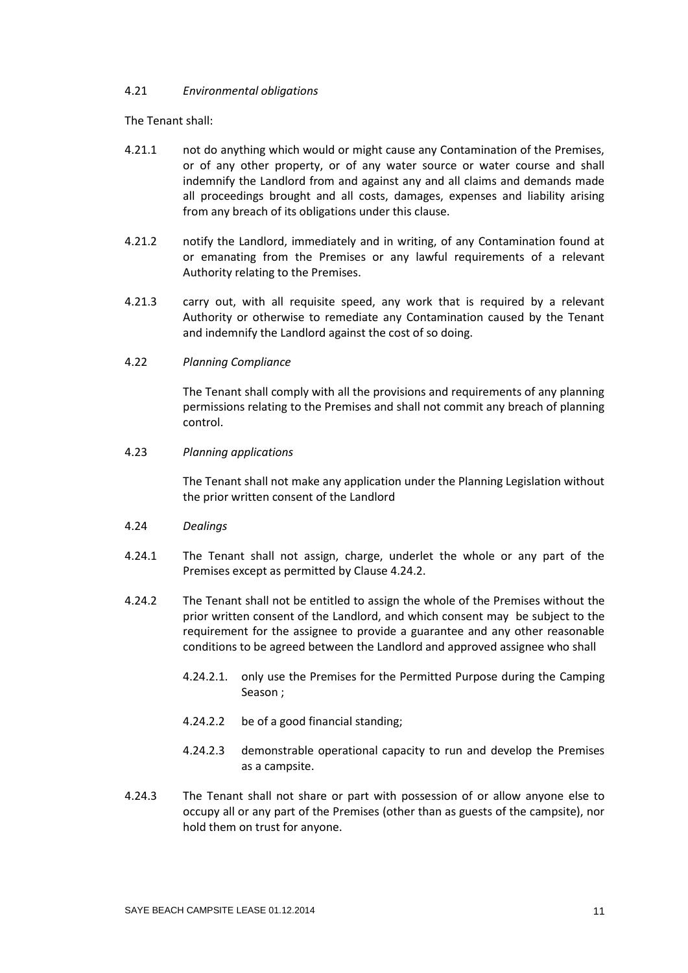#### 4.21 *Environmental obligations*

The Tenant shall:

- 4.21.1 not do anything which would or might cause any Contamination of the Premises, or of any other property, or of any water source or water course and shall indemnify the Landlord from and against any and all claims and demands made all proceedings brought and all costs, damages, expenses and liability arising from any breach of its obligations under this clause.
- 4.21.2 notify the Landlord, immediately and in writing, of any Contamination found at or emanating from the Premises or any lawful requirements of a relevant Authority relating to the Premises.
- 4.21.3 carry out, with all requisite speed, any work that is required by a relevant Authority or otherwise to remediate any Contamination caused by the Tenant and indemnify the Landlord against the cost of so doing.
- 4.22 *Planning Compliance*

The Tenant shall comply with all the provisions and requirements of any planning permissions relating to the Premises and shall not commit any breach of planning control.

4.23 *Planning applications*

The Tenant shall not make any application under the Planning Legislation without the prior written consent of the Landlord

- 4.24 *Dealings*
- 4.24.1 The Tenant shall not assign, charge, underlet the whole or any part of the Premises except as permitted by Clause 4.24.2.
- 4.24.2 The Tenant shall not be entitled to assign the whole of the Premises without the prior written consent of the Landlord, and which consent may be subject to the requirement for the assignee to provide a guarantee and any other reasonable conditions to be agreed between the Landlord and approved assignee who shall
	- 4.24.2.1. only use the Premises for the Permitted Purpose during the Camping Season ;
	- 4.24.2.2 be of a good financial standing;
	- 4.24.2.3 demonstrable operational capacity to run and develop the Premises as a campsite.
- 4.24.3 The Tenant shall not share or part with possession of or allow anyone else to occupy all or any part of the Premises (other than as guests of the campsite), nor hold them on trust for anyone.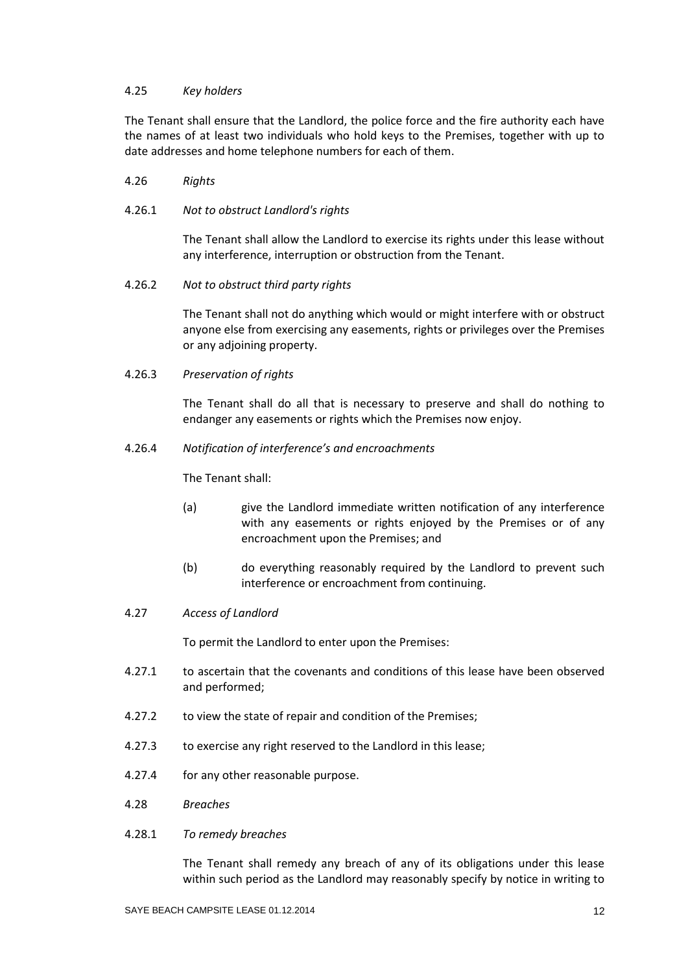#### 4.25 *Key holders*

The Tenant shall ensure that the Landlord, the police force and the fire authority each have the names of at least two individuals who hold keys to the Premises, together with up to date addresses and home telephone numbers for each of them.

- 4.26 *Rights*
- 4.26.1 *Not to obstruct Landlord's rights*

The Tenant shall allow the Landlord to exercise its rights under this lease without any interference, interruption or obstruction from the Tenant.

4.26.2 *Not to obstruct third party rights*

The Tenant shall not do anything which would or might interfere with or obstruct anyone else from exercising any easements, rights or privileges over the Premises or any adjoining property.

4.26.3 *Preservation of rights*

The Tenant shall do all that is necessary to preserve and shall do nothing to endanger any easements or rights which the Premises now enjoy.

4.26.4 *Notification of interference's and encroachments*

The Tenant shall:

- (a) give the Landlord immediate written notification of any interference with any easements or rights enjoyed by the Premises or of any encroachment upon the Premises; and
- (b) do everything reasonably required by the Landlord to prevent such interference or encroachment from continuing.
- 4.27 *Access of Landlord*

To permit the Landlord to enter upon the Premises:

- 4.27.1 to ascertain that the covenants and conditions of this lease have been observed and performed;
- 4.27.2 to view the state of repair and condition of the Premises;
- 4.27.3 to exercise any right reserved to the Landlord in this lease;
- 4.27.4 for any other reasonable purpose.
- 4.28 *Breaches*
- 4.28.1 *To remedy breaches*

The Tenant shall remedy any breach of any of its obligations under this lease within such period as the Landlord may reasonably specify by notice in writing to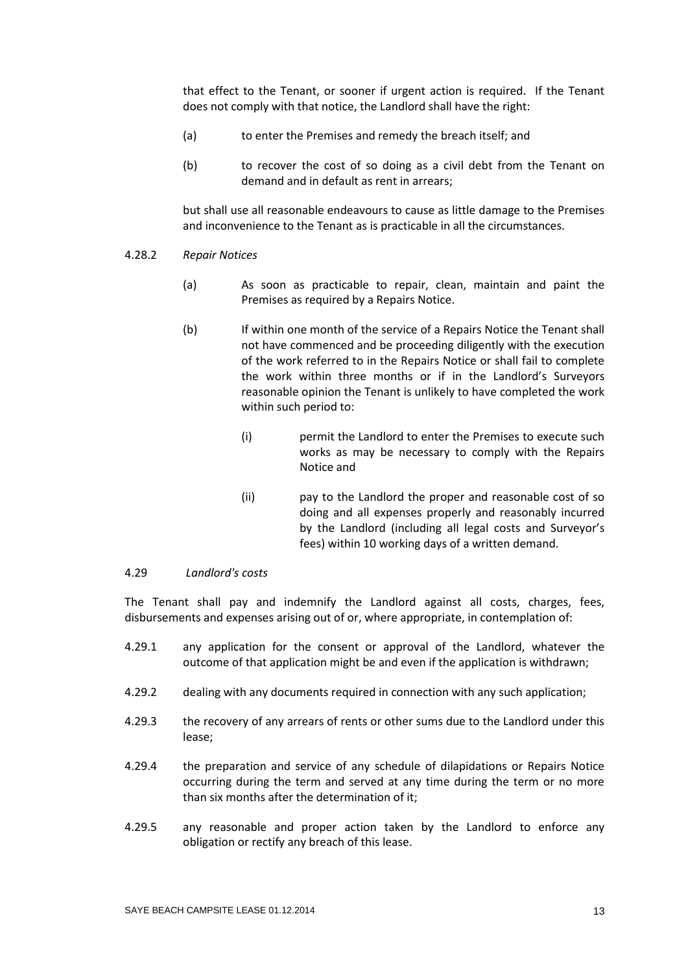that effect to the Tenant, or sooner if urgent action is required. If the Tenant does not comply with that notice, the Landlord shall have the right:

- (a) to enter the Premises and remedy the breach itself; and
- (b) to recover the cost of so doing as a civil debt from the Tenant on demand and in default as rent in arrears;

but shall use all reasonable endeavours to cause as little damage to the Premises and inconvenience to the Tenant as is practicable in all the circumstances.

- 4.28.2 *Repair Notices*
	- (a) As soon as practicable to repair, clean, maintain and paint the Premises as required by a Repairs Notice.
	- (b) If within one month of the service of a Repairs Notice the Tenant shall not have commenced and be proceeding diligently with the execution of the work referred to in the Repairs Notice or shall fail to complete the work within three months or if in the Landlord's Surveyors reasonable opinion the Tenant is unlikely to have completed the work within such period to:
		- (i) permit the Landlord to enter the Premises to execute such works as may be necessary to comply with the Repairs Notice and
		- (ii) pay to the Landlord the proper and reasonable cost of so doing and all expenses properly and reasonably incurred by the Landlord (including all legal costs and Surveyor's fees) within 10 working days of a written demand.

#### 4.29 *Landlord's costs*

The Tenant shall pay and indemnify the Landlord against all costs, charges, fees, disbursements and expenses arising out of or, where appropriate, in contemplation of:

- 4.29.1 any application for the consent or approval of the Landlord, whatever the outcome of that application might be and even if the application is withdrawn;
- 4.29.2 dealing with any documents required in connection with any such application;
- 4.29.3 the recovery of any arrears of rents or other sums due to the Landlord under this lease;
- 4.29.4 the preparation and service of any schedule of dilapidations or Repairs Notice occurring during the term and served at any time during the term or no more than six months after the determination of it;
- 4.29.5 any reasonable and proper action taken by the Landlord to enforce any obligation or rectify any breach of this lease.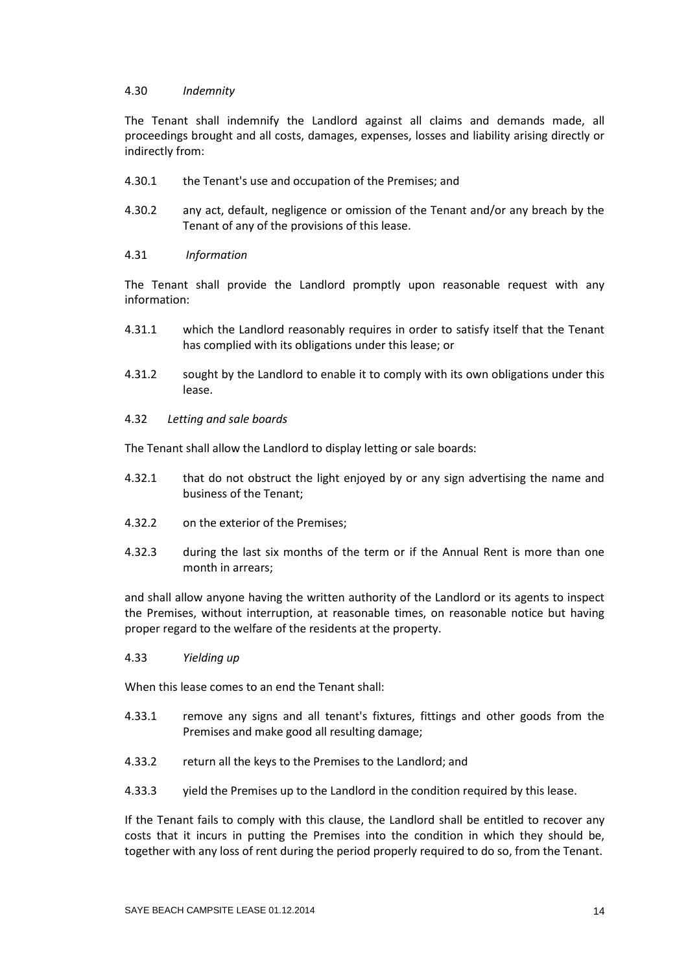#### 4.30 *Indemnity*

The Tenant shall indemnify the Landlord against all claims and demands made, all proceedings brought and all costs, damages, expenses, losses and liability arising directly or indirectly from:

- 4.30.1 the Tenant's use and occupation of the Premises; and
- 4.30.2 any act, default, negligence or omission of the Tenant and/or any breach by the Tenant of any of the provisions of this lease.

### 4.31 *Information*

The Tenant shall provide the Landlord promptly upon reasonable request with any information:

- 4.31.1 which the Landlord reasonably requires in order to satisfy itself that the Tenant has complied with its obligations under this lease; or
- 4.31.2 sought by the Landlord to enable it to comply with its own obligations under this lease.
- 4.32 *Letting and sale boards*

The Tenant shall allow the Landlord to display letting or sale boards:

- 4.32.1 that do not obstruct the light enjoyed by or any sign advertising the name and business of the Tenant;
- 4.32.2 on the exterior of the Premises;
- 4.32.3 during the last six months of the term or if the Annual Rent is more than one month in arrears;

and shall allow anyone having the written authority of the Landlord or its agents to inspect the Premises, without interruption, at reasonable times, on reasonable notice but having proper regard to the welfare of the residents at the property.

4.33 *Yielding up*

When this lease comes to an end the Tenant shall:

- 4.33.1 remove any signs and all tenant's fixtures, fittings and other goods from the Premises and make good all resulting damage;
- 4.33.2 return all the keys to the Premises to the Landlord; and
- 4.33.3 yield the Premises up to the Landlord in the condition required by this lease.

If the Tenant fails to comply with this clause, the Landlord shall be entitled to recover any costs that it incurs in putting the Premises into the condition in which they should be, together with any loss of rent during the period properly required to do so, from the Tenant.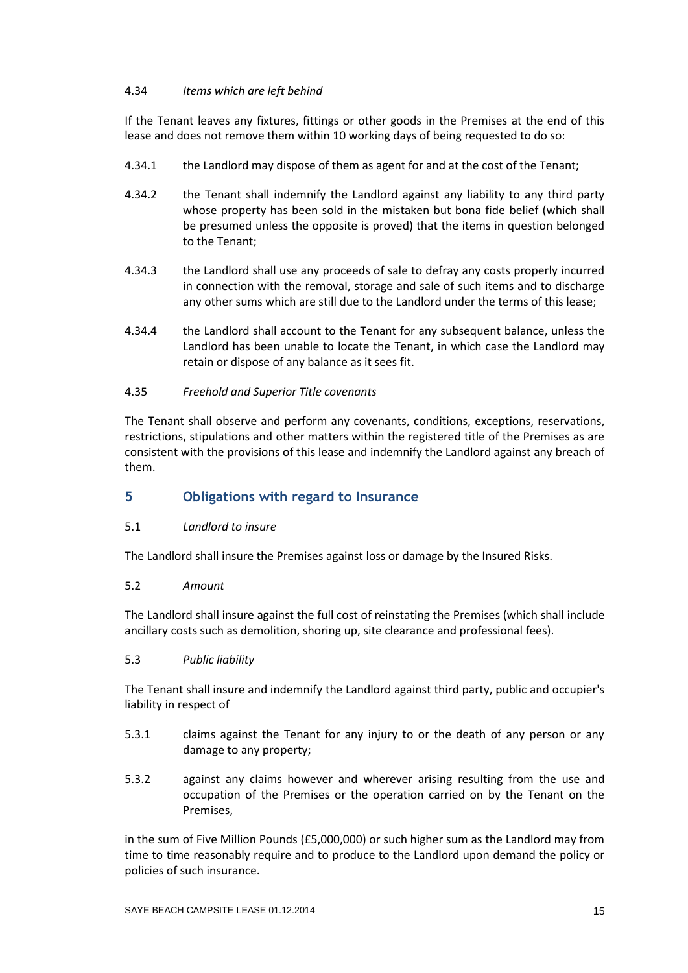## 4.34*Items which are left behind*

If the Tenant leaves any fixtures, fittings or other goods in the Premises at the end of this lease and does not remove them within 10 working days of being requested to do so:

- 4.34.1 the Landlord may dispose of them as agent for and at the cost of the Tenant;
- 4.34.2 the Tenant shall indemnify the Landlord against any liability to any third party whose property has been sold in the mistaken but bona fide belief (which shall be presumed unless the opposite is proved) that the items in question belonged to the Tenant;
- 4.34.3 the Landlord shall use any proceeds of sale to defray any costs properly incurred in connection with the removal, storage and sale of such items and to discharge any other sums which are still due to the Landlord under the terms of this lease;
- 4.34.4 the Landlord shall account to the Tenant for any subsequent balance, unless the Landlord has been unable to locate the Tenant, in which case the Landlord may retain or dispose of any balance as it sees fit.

## 4.35*Freehold and Superior Title covenants*

The Tenant shall observe and perform any covenants, conditions, exceptions, reservations, restrictions, stipulations and other matters within the registered title of the Premises as are consistent with the provisions of this lease and indemnify the Landlord against any breach of them.

# **5 Obligations with regard to Insurance**

### 5.1 *Landlord to insure*

The Landlord shall insure the Premises against loss or damage by the Insured Risks.

### 5.2 *Amount*

The Landlord shall insure against the full cost of reinstating the Premises (which shall include ancillary costs such as demolition, shoring up, site clearance and professional fees).

### 5.3 *Public liability*

The Tenant shall insure and indemnify the Landlord against third party, public and occupier's liability in respect of

- 5.3.1 claims against the Tenant for any injury to or the death of any person or any damage to any property;
- 5.3.2 against any claims however and wherever arising resulting from the use and occupation of the Premises or the operation carried on by the Tenant on the Premises,

in the sum of Five Million Pounds (£5,000,000) or such higher sum as the Landlord may from time to time reasonably require and to produce to the Landlord upon demand the policy or policies of such insurance.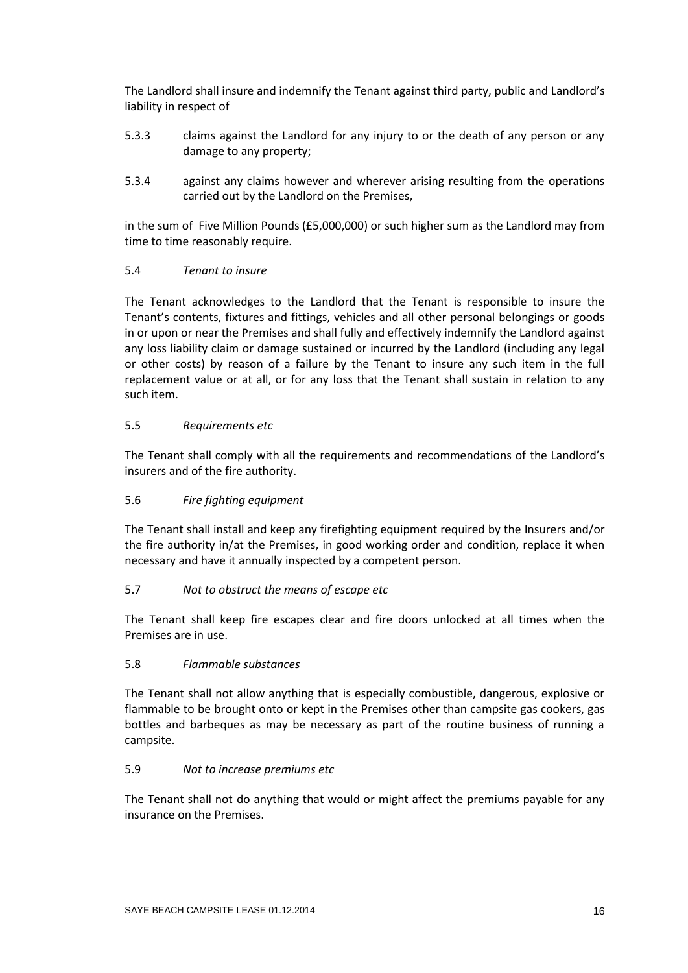The Landlord shall insure and indemnify the Tenant against third party, public and Landlord's liability in respect of

- 5.3.3 claims against the Landlord for any injury to or the death of any person or any damage to any property;
- 5.3.4 against any claims however and wherever arising resulting from the operations carried out by the Landlord on the Premises,

in the sum of Five Million Pounds (£5,000,000) or such higher sum as the Landlord may from time to time reasonably require.

### 5.4 *Tenant to insure*

The Tenant acknowledges to the Landlord that the Tenant is responsible to insure the Tenant's contents, fixtures and fittings, vehicles and all other personal belongings or goods in or upon or near the Premises and shall fully and effectively indemnify the Landlord against any loss liability claim or damage sustained or incurred by the Landlord (including any legal or other costs) by reason of a failure by the Tenant to insure any such item in the full replacement value or at all, or for any loss that the Tenant shall sustain in relation to any such item.

### 5.5 *Requirements etc*

The Tenant shall comply with all the requirements and recommendations of the Landlord's insurers and of the fire authority.

### 5.6 *Fire fighting equipment*

The Tenant shall install and keep any firefighting equipment required by the Insurers and/or the fire authority in/at the Premises, in good working order and condition, replace it when necessary and have it annually inspected by a competent person.

### 5.7 *Not to obstruct the means of escape etc*

The Tenant shall keep fire escapes clear and fire doors unlocked at all times when the Premises are in use.

### 5.8 *Flammable substances*

The Tenant shall not allow anything that is especially combustible, dangerous, explosive or flammable to be brought onto or kept in the Premises other than campsite gas cookers, gas bottles and barbeques as may be necessary as part of the routine business of running a campsite.

## 5.9 *Not to increase premiums etc*

The Tenant shall not do anything that would or might affect the premiums payable for any insurance on the Premises.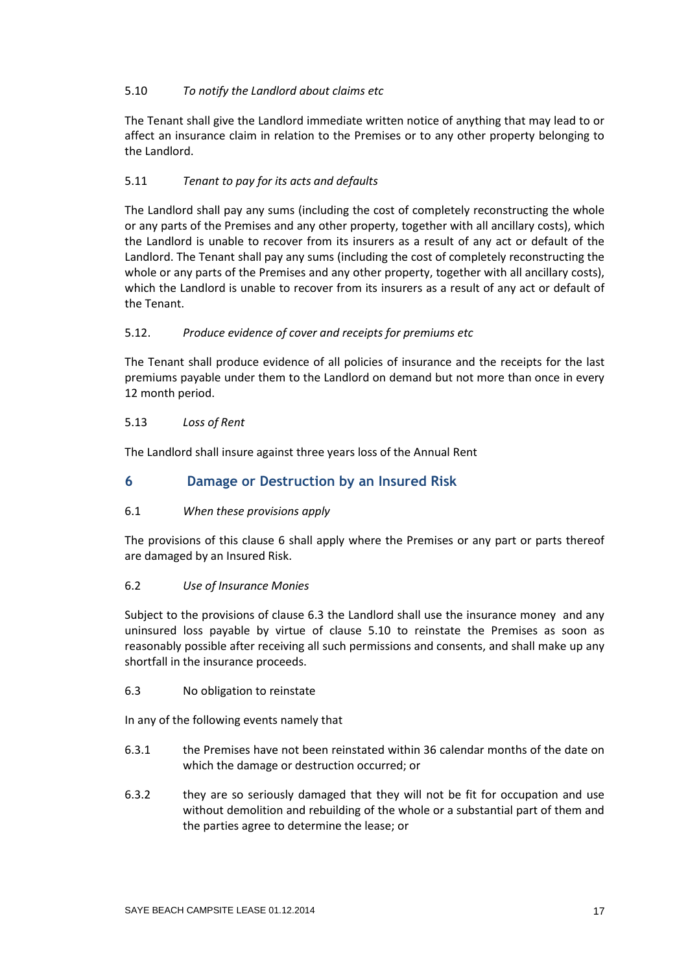## 5.10 *To notify the Landlord about claims etc*

The Tenant shall give the Landlord immediate written notice of anything that may lead to or affect an insurance claim in relation to the Premises or to any other property belonging to the Landlord.

# 5.11 *Tenant to pay for its acts and defaults*

The Landlord shall pay any sums (including the cost of completely reconstructing the whole or any parts of the Premises and any other property, together with all ancillary costs), which the Landlord is unable to recover from its insurers as a result of any act or default of the Landlord. The Tenant shall pay any sums (including the cost of completely reconstructing the whole or any parts of the Premises and any other property, together with all ancillary costs), which the Landlord is unable to recover from its insurers as a result of any act or default of the Tenant.

# 5.12. *Produce evidence of cover and receipts for premiums etc*

The Tenant shall produce evidence of all policies of insurance and the receipts for the last premiums payable under them to the Landlord on demand but not more than once in every 12 month period.

# 5.13 *Loss of Rent*

The Landlord shall insure against three years loss of the Annual Rent

# **6 Damage or Destruction by an Insured Risk**

# 6.1 *When these provisions apply*

The provisions of this clause 6 shall apply where the Premises or any part or parts thereof are damaged by an Insured Risk.

# 6.2 *Use of Insurance Monies*

Subject to the provisions of clause 6.3 the Landlord shall use the insurance money and any uninsured loss payable by virtue of clause 5.10 to reinstate the Premises as soon as reasonably possible after receiving all such permissions and consents, and shall make up any shortfall in the insurance proceeds.

6.3 No obligation to reinstate

In any of the following events namely that

- 6.3.1 the Premises have not been reinstated within 36 calendar months of the date on which the damage or destruction occurred; or
- 6.3.2 they are so seriously damaged that they will not be fit for occupation and use without demolition and rebuilding of the whole or a substantial part of them and the parties agree to determine the lease; or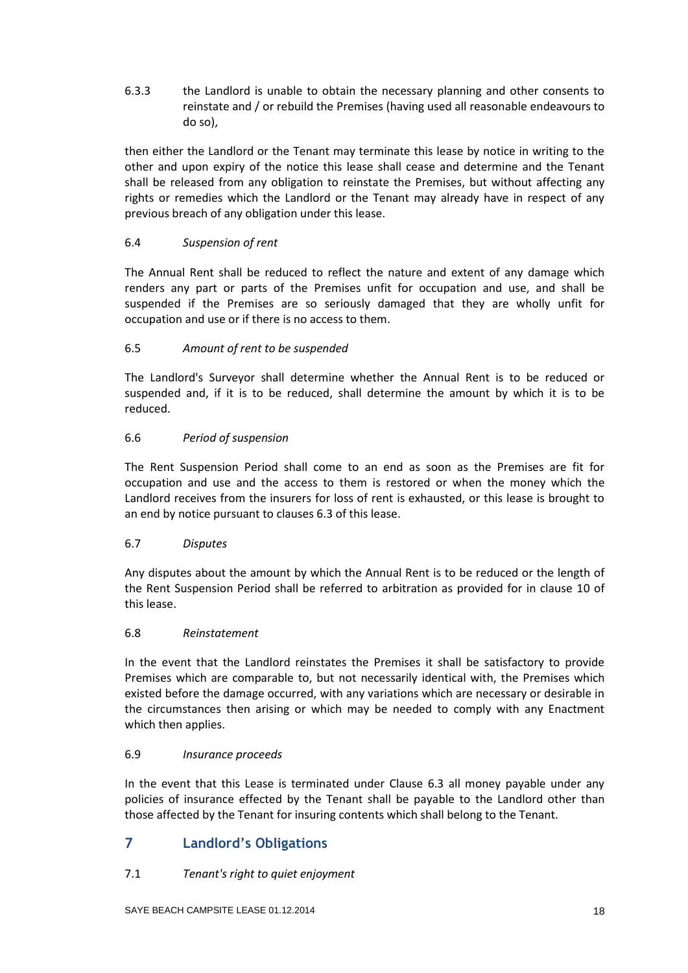6.3.3 the Landlord is unable to obtain the necessary planning and other consents to reinstate and / or rebuild the Premises (having used all reasonable endeavours to do so),

then either the Landlord or the Tenant may terminate this lease by notice in writing to the other and upon expiry of the notice this lease shall cease and determine and the Tenant shall be released from any obligation to reinstate the Premises, but without affecting any rights or remedies which the Landlord or the Tenant may already have in respect of any previous breach of any obligation under this lease.

## 6.4 *Suspension of rent*

The Annual Rent shall be reduced to reflect the nature and extent of any damage which renders any part or parts of the Premises unfit for occupation and use, and shall be suspended if the Premises are so seriously damaged that they are wholly unfit for occupation and use or if there is no access to them.

## 6.5 *Amount of rent to be suspended*

The Landlord's Surveyor shall determine whether the Annual Rent is to be reduced or suspended and, if it is to be reduced, shall determine the amount by which it is to be reduced.

## 6.6 *Period of suspension*

The Rent Suspension Period shall come to an end as soon as the Premises are fit for occupation and use and the access to them is restored or when the money which the Landlord receives from the insurers for loss of rent is exhausted, or this lease is brought to an end by notice pursuant to clauses 6.3 of this lease.

### 6.7 *Disputes*

Any disputes about the amount by which the Annual Rent is to be reduced or the length of the Rent Suspension Period shall be referred to arbitration as provided for in clause 10 of this lease.

### 6.8 *Reinstatement*

In the event that the Landlord reinstates the Premises it shall be satisfactory to provide Premises which are comparable to, but not necessarily identical with, the Premises which existed before the damage occurred, with any variations which are necessary or desirable in the circumstances then arising or which may be needed to comply with any Enactment which then applies.

### 6.9*Insurance proceeds*

In the event that this Lease is terminated under Clause 6.3 all money payable under any policies of insurance effected by the Tenant shall be payable to the Landlord other than those affected by the Tenant for insuring contents which shall belong to the Tenant.

# **7 Landlord's Obligations**

# 7.1 *Tenant's right to quiet enjoyment*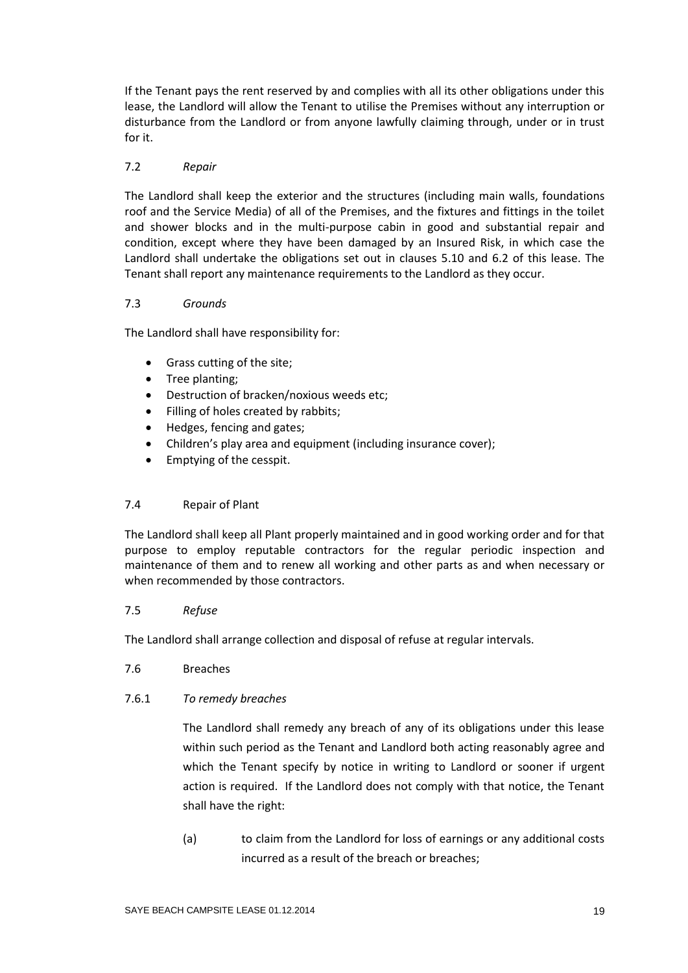If the Tenant pays the rent reserved by and complies with all its other obligations under this lease, the Landlord will allow the Tenant to utilise the Premises without any interruption or disturbance from the Landlord or from anyone lawfully claiming through, under or in trust for it.

## 7.2 *Repair*

The Landlord shall keep the exterior and the structures (including main walls, foundations roof and the Service Media) of all of the Premises, and the fixtures and fittings in the toilet and shower blocks and in the multi-purpose cabin in good and substantial repair and condition, except where they have been damaged by an Insured Risk, in which case the Landlord shall undertake the obligations set out in clauses 5.10 and 6.2 of this lease. The Tenant shall report any maintenance requirements to the Landlord as they occur.

## 7.3 *Grounds*

The Landlord shall have responsibility for:

- Grass cutting of the site;
- Tree planting;
- Destruction of bracken/noxious weeds etc;
- Filling of holes created by rabbits;
- Hedges, fencing and gates;
- Children's play area and equipment (including insurance cover);
- Emptying of the cesspit.

# 7.4 Repair of Plant

The Landlord shall keep all Plant properly maintained and in good working order and for that purpose to employ reputable contractors for the regular periodic inspection and maintenance of them and to renew all working and other parts as and when necessary or when recommended by those contractors.

# 7.5 *Refuse*

The Landlord shall arrange collection and disposal of refuse at regular intervals.

7.6 Breaches

# 7.6.1 *To remedy breaches*

The Landlord shall remedy any breach of any of its obligations under this lease within such period as the Tenant and Landlord both acting reasonably agree and which the Tenant specify by notice in writing to Landlord or sooner if urgent action is required. If the Landlord does not comply with that notice, the Tenant shall have the right:

(a) to claim from the Landlord for loss of earnings or any additional costs incurred as a result of the breach or breaches;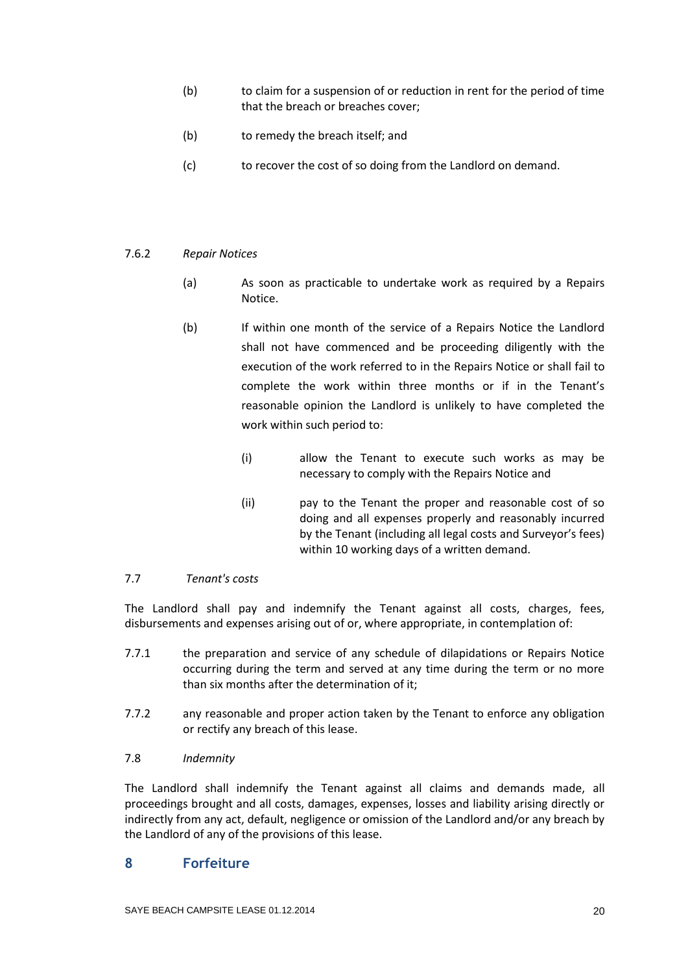- (b) to claim for a suspension of or reduction in rent for the period of time that the breach or breaches cover;
- (b) to remedy the breach itself; and
- (c) to recover the cost of so doing from the Landlord on demand.

## 7.6.2 *Repair Notices*

- (a) As soon as practicable to undertake work as required by a Repairs Notice.
- (b) If within one month of the service of a Repairs Notice the Landlord shall not have commenced and be proceeding diligently with the execution of the work referred to in the Repairs Notice or shall fail to complete the work within three months or if in the Tenant's reasonable opinion the Landlord is unlikely to have completed the work within such period to:
	- (i) allow the Tenant to execute such works as may be necessary to comply with the Repairs Notice and
	- (ii) pay to the Tenant the proper and reasonable cost of so doing and all expenses properly and reasonably incurred by the Tenant (including all legal costs and Surveyor's fees) within 10 working days of a written demand.

### 7.7 *Tenant's costs*

The Landlord shall pay and indemnify the Tenant against all costs, charges, fees, disbursements and expenses arising out of or, where appropriate, in contemplation of:

- 7.7.1 the preparation and service of any schedule of dilapidations or Repairs Notice occurring during the term and served at any time during the term or no more than six months after the determination of it;
- 7.7.2 any reasonable and proper action taken by the Tenant to enforce any obligation or rectify any breach of this lease.

### 7.8 *Indemnity*

The Landlord shall indemnify the Tenant against all claims and demands made, all proceedings brought and all costs, damages, expenses, losses and liability arising directly or indirectly from any act, default, negligence or omission of the Landlord and/or any breach by the Landlord of any of the provisions of this lease.

# **8 Forfeiture**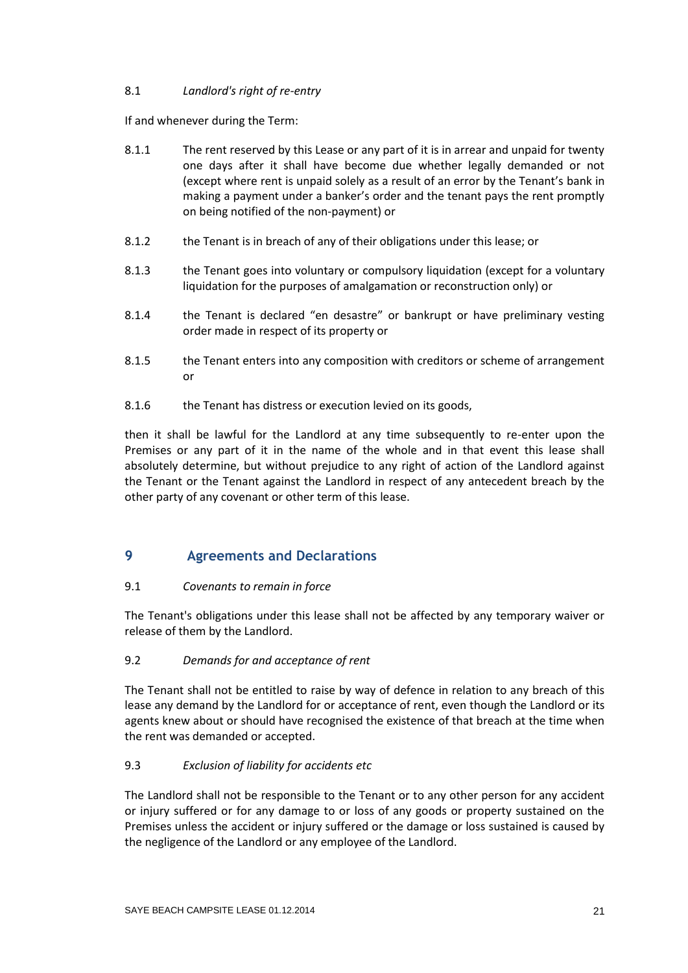## 8.1 *Landlord's right of re-entry*

If and whenever during the Term:

- 8.1.1 The rent reserved by this Lease or any part of it is in arrear and unpaid for twenty one days after it shall have become due whether legally demanded or not (except where rent is unpaid solely as a result of an error by the Tenant's bank in making a payment under a banker's order and the tenant pays the rent promptly on being notified of the non-payment) or
- 8.1.2 the Tenant is in breach of any of their obligations under this lease; or
- 8.1.3 the Tenant goes into voluntary or compulsory liquidation (except for a voluntary liquidation for the purposes of amalgamation or reconstruction only) or
- 8.1.4 the Tenant is declared "en desastre" or bankrupt or have preliminary vesting order made in respect of its property or
- 8.1.5 the Tenant enters into any composition with creditors or scheme of arrangement or
- 8.1.6 the Tenant has distress or execution levied on its goods,

then it shall be lawful for the Landlord at any time subsequently to re-enter upon the Premises or any part of it in the name of the whole and in that event this lease shall absolutely determine, but without prejudice to any right of action of the Landlord against the Tenant or the Tenant against the Landlord in respect of any antecedent breach by the other party of any covenant or other term of this lease.

# **9 Agreements and Declarations**

# 9.1 *Covenants to remain in force*

The Tenant's obligations under this lease shall not be affected by any temporary waiver or release of them by the Landlord.

# 9.2 *Demands for and acceptance of rent*

The Tenant shall not be entitled to raise by way of defence in relation to any breach of this lease any demand by the Landlord for or acceptance of rent, even though the Landlord or its agents knew about or should have recognised the existence of that breach at the time when the rent was demanded or accepted.

# 9.3 *Exclusion of liability for accidents etc*

The Landlord shall not be responsible to the Tenant or to any other person for any accident or injury suffered or for any damage to or loss of any goods or property sustained on the Premises unless the accident or injury suffered or the damage or loss sustained is caused by the negligence of the Landlord or any employee of the Landlord.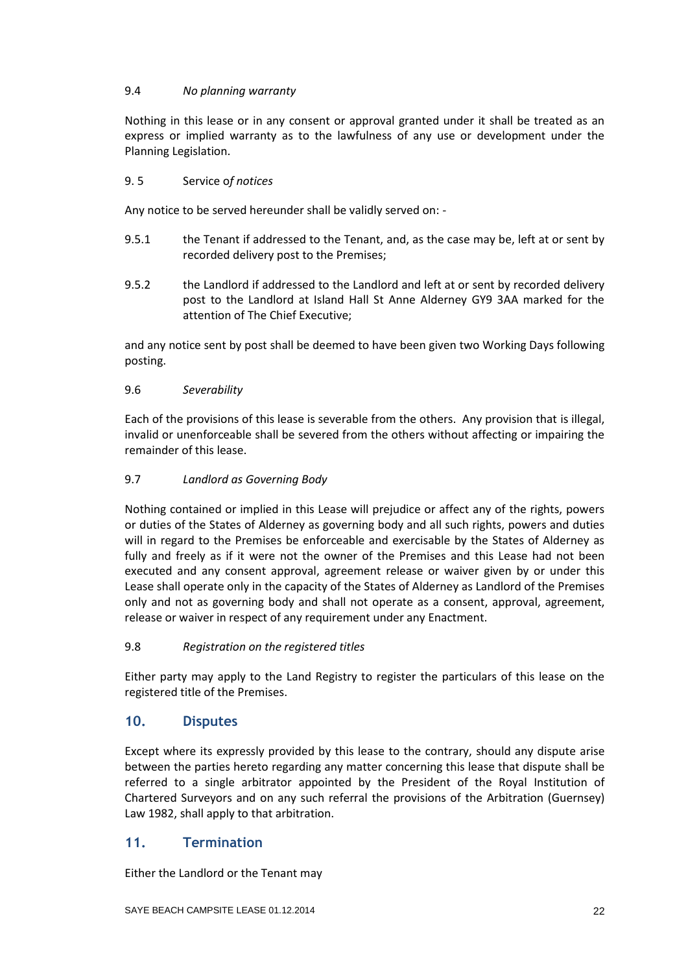## 9.4 *No planning warranty*

Nothing in this lease or in any consent or approval granted under it shall be treated as an express or implied warranty as to the lawfulness of any use or development under the Planning Legislation.

## 9. 5 Service o*f notices*

Any notice to be served hereunder shall be validly served on: -

- 9.5.1 the Tenant if addressed to the Tenant, and, as the case may be, left at or sent by recorded delivery post to the Premises;
- 9.5.2 the Landlord if addressed to the Landlord and left at or sent by recorded delivery post to the Landlord at Island Hall St Anne Alderney GY9 3AA marked for the attention of The Chief Executive;

and any notice sent by post shall be deemed to have been given two Working Days following posting.

## 9.6 *Severability*

Each of the provisions of this lease is severable from the others. Any provision that is illegal, invalid or unenforceable shall be severed from the others without affecting or impairing the remainder of this lease.

## 9.7 *Landlord as Governing Body*

Nothing contained or implied in this Lease will prejudice or affect any of the rights, powers or duties of the States of Alderney as governing body and all such rights, powers and duties will in regard to the Premises be enforceable and exercisable by the States of Alderney as fully and freely as if it were not the owner of the Premises and this Lease had not been executed and any consent approval, agreement release or waiver given by or under this Lease shall operate only in the capacity of the States of Alderney as Landlord of the Premises only and not as governing body and shall not operate as a consent, approval, agreement, release or waiver in respect of any requirement under any Enactment.

### 9.8 *Registration on the registered titles*

Either party may apply to the Land Registry to register the particulars of this lease on the registered title of the Premises.

# **10. Disputes**

Except where its expressly provided by this lease to the contrary, should any dispute arise between the parties hereto regarding any matter concerning this lease that dispute shall be referred to a single arbitrator appointed by the President of the Royal Institution of Chartered Surveyors and on any such referral the provisions of the Arbitration (Guernsey) Law 1982, shall apply to that arbitration.

# **11. Termination**

Either the Landlord or the Tenant may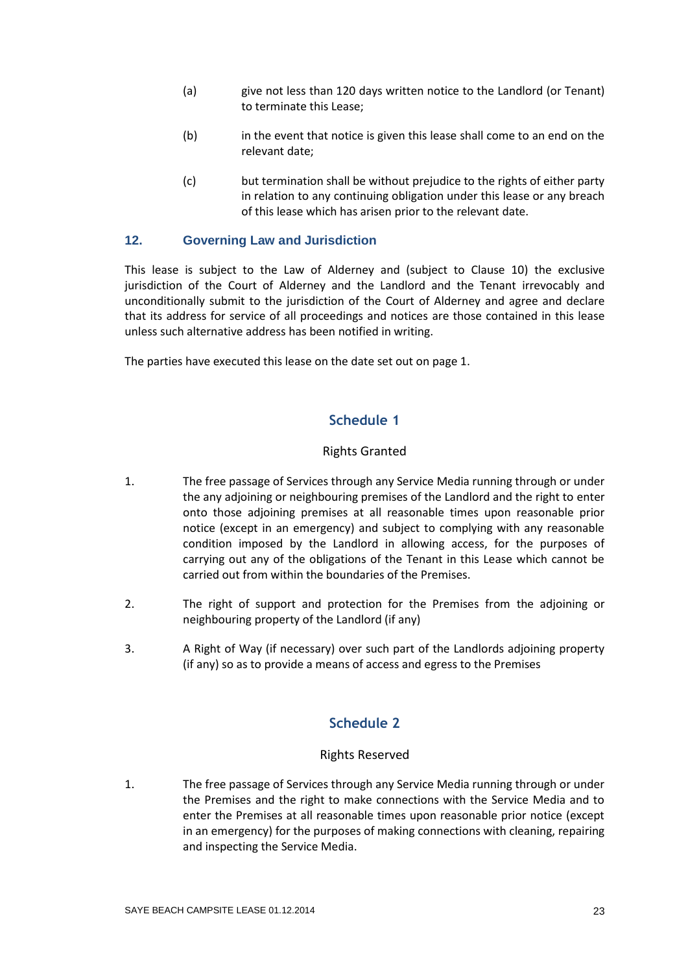- (a) give not less than 120 days written notice to the Landlord (or Tenant) to terminate this Lease;
- (b) in the event that notice is given this lease shall come to an end on the relevant date;
- (c) but termination shall be without prejudice to the rights of either party in relation to any continuing obligation under this lease or any breach of this lease which has arisen prior to the relevant date.

## **12. Governing Law and Jurisdiction**

This lease is subject to the Law of Alderney and (subject to Clause 10) the exclusive jurisdiction of the Court of Alderney and the Landlord and the Tenant irrevocably and unconditionally submit to the jurisdiction of the Court of Alderney and agree and declare that its address for service of all proceedings and notices are those contained in this lease unless such alternative address has been notified in writing.

The parties have executed this lease on the date set out on page 1.

# **Schedule 1**

## Rights Granted

- 1. The free passage of Services through any Service Media running through or under the any adjoining or neighbouring premises of the Landlord and the right to enter onto those adjoining premises at all reasonable times upon reasonable prior notice (except in an emergency) and subject to complying with any reasonable condition imposed by the Landlord in allowing access, for the purposes of carrying out any of the obligations of the Tenant in this Lease which cannot be carried out from within the boundaries of the Premises.
- 2. The right of support and protection for the Premises from the adjoining or neighbouring property of the Landlord (if any)
- 3. A Right of Way (if necessary) over such part of the Landlords adjoining property (if any) so as to provide a means of access and egress to the Premises

# **Schedule 2**

### Rights Reserved

1. The free passage of Services through any Service Media running through or under the Premises and the right to make connections with the Service Media and to enter the Premises at all reasonable times upon reasonable prior notice (except in an emergency) for the purposes of making connections with cleaning, repairing and inspecting the Service Media.